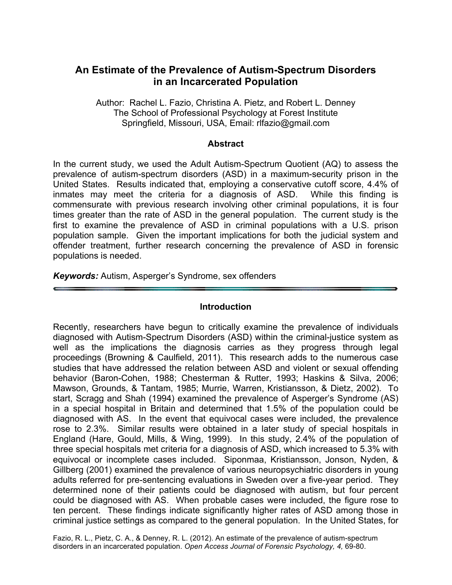## **An Estimate of the Prevalence of Autism-Spectrum Disorders in an Incarcerated Population**

Author: Rachel L. Fazio, Christina A. Pietz, and Robert L. Denney The School of Professional Psychology at Forest Institute Springfield, Missouri, USA, Email: rlfazio@gmail.com

#### **Abstract**

In the current study, we used the Adult Autism-Spectrum Quotient (AQ) to assess the prevalence of autism-spectrum disorders (ASD) in a maximum-security prison in the United States. Results indicated that, employing a conservative cutoff score, 4.4% of inmates may meet the criteria for a diagnosis of ASD. While this finding is commensurate with previous research involving other criminal populations, it is four times greater than the rate of ASD in the general population. The current study is the first to examine the prevalence of ASD in criminal populations with a U.S. prison population sample. Given the important implications for both the judicial system and offender treatment, further research concerning the prevalence of ASD in forensic populations is needed.

*Keywords:* Autism, Asperger's Syndrome, sex offenders

#### **Introduction**

Recently, researchers have begun to critically examine the prevalence of individuals diagnosed with Autism-Spectrum Disorders (ASD) within the criminal-justice system as well as the implications the diagnosis carries as they progress through legal proceedings (Browning & Caulfield, 2011). This research adds to the numerous case studies that have addressed the relation between ASD and violent or sexual offending behavior (Baron-Cohen, 1988; Chesterman & Rutter, 1993; Haskins & Silva, 2006; Mawson, Grounds, & Tantam, 1985; Murrie, Warren, Kristiansson, & Dietz, 2002). To start, Scragg and Shah (1994) examined the prevalence of Asperger's Syndrome (AS) in a special hospital in Britain and determined that 1.5% of the population could be diagnosed with AS. In the event that equivocal cases were included, the prevalence rose to 2.3%. Similar results were obtained in a later study of special hospitals in England (Hare, Gould, Mills, & Wing, 1999). In this study, 2.4% of the population of three special hospitals met criteria for a diagnosis of ASD, which increased to 5.3% with equivocal or incomplete cases included. Siponmaa, Kristiansson, Jonson, Nyden, & Gillberg (2001) examined the prevalence of various neuropsychiatric disorders in young adults referred for pre-sentencing evaluations in Sweden over a five-year period. They determined none of their patients could be diagnosed with autism, but four percent could be diagnosed with AS. When probable cases were included, the figure rose to ten percent. These findings indicate significantly higher rates of ASD among those in criminal justice settings as compared to the general population. In the United States, for

Fazio, R. L., Pietz, C. A., & Denney, R. L. (2012). An estimate of the prevalence of autism-spectrum disorders in an incarcerated population. *Open Access Journal of Forensic Psychology, 4,* 69-80.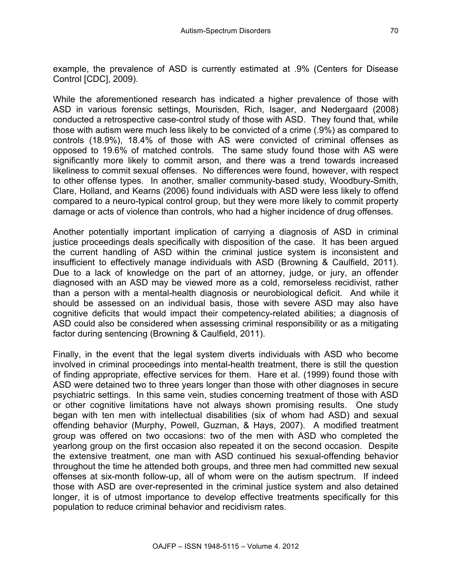While the aforementioned research has indicated a higher prevalence of those with ASD in various forensic settings, Mourisden, Rich, Isager, and Nedergaard (2008) conducted a retrospective case-control study of those with ASD. They found that, while those with autism were much less likely to be convicted of a crime (.9%) as compared to controls (18.9%), 18.4% of those with AS were convicted of criminal offenses as opposed to 19.6% of matched controls. The same study found those with AS were significantly more likely to commit arson, and there was a trend towards increased likeliness to commit sexual offenses. No differences were found, however, with respect to other offense types. In another, smaller community-based study, Woodbury-Smith, Clare, Holland, and Kearns (2006) found individuals with ASD were less likely to offend compared to a neuro-typical control group, but they were more likely to commit property damage or acts of violence than controls, who had a higher incidence of drug offenses.

Another potentially important implication of carrying a diagnosis of ASD in criminal justice proceedings deals specifically with disposition of the case. It has been argued the current handling of ASD within the criminal justice system is inconsistent and insufficient to effectively manage individuals with ASD (Browning & Caulfield, 2011). Due to a lack of knowledge on the part of an attorney, judge, or jury, an offender diagnosed with an ASD may be viewed more as a cold, remorseless recidivist, rather than a person with a mental-health diagnosis or neurobiological deficit. And while it should be assessed on an individual basis, those with severe ASD may also have cognitive deficits that would impact their competency-related abilities; a diagnosis of ASD could also be considered when assessing criminal responsibility or as a mitigating factor during sentencing (Browning & Caulfield, 2011).

Finally, in the event that the legal system diverts individuals with ASD who become involved in criminal proceedings into mental-health treatment, there is still the question of finding appropriate, effective services for them. Hare et al. (1999) found those with ASD were detained two to three years longer than those with other diagnoses in secure psychiatric settings. In this same vein, studies concerning treatment of those with ASD or other cognitive limitations have not always shown promising results. One study began with ten men with intellectual disabilities (six of whom had ASD) and sexual offending behavior (Murphy, Powell, Guzman, & Hays, 2007). A modified treatment group was offered on two occasions: two of the men with ASD who completed the yearlong group on the first occasion also repeated it on the second occasion. Despite the extensive treatment, one man with ASD continued his sexual-offending behavior throughout the time he attended both groups, and three men had committed new sexual offenses at six-month follow-up, all of whom were on the autism spectrum. If indeed those with ASD are over-represented in the criminal justice system and also detained longer, it is of utmost importance to develop effective treatments specifically for this population to reduce criminal behavior and recidivism rates.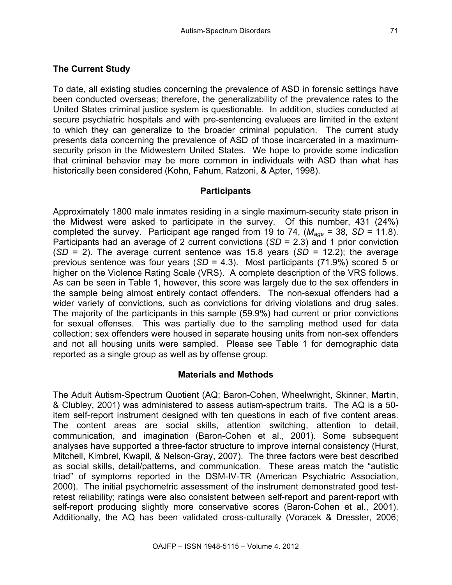## **The Current Study**

To date, all existing studies concerning the prevalence of ASD in forensic settings have been conducted overseas; therefore, the generalizability of the prevalence rates to the United States criminal justice system is questionable. In addition, studies conducted at secure psychiatric hospitals and with pre-sentencing evaluees are limited in the extent to which they can generalize to the broader criminal population. The current study presents data concerning the prevalence of ASD of those incarcerated in a maximumsecurity prison in the Midwestern United States. We hope to provide some indication that criminal behavior may be more common in individuals with ASD than what has historically been considered (Kohn, Fahum, Ratzoni, & Apter, 1998).

### **Participants**

Approximately 1800 male inmates residing in a single maximum-security state prison in the Midwest were asked to participate in the survey. Of this number, 431 (24%) completed the survey. Participant age ranged from 19 to 74,  $(M_{age} = 38, SD = 11.8)$ . Participants had an average of 2 current convictions (*SD* = 2.3) and 1 prior conviction (*SD* = 2). The average current sentence was 15.8 years (*SD* = 12.2); the average previous sentence was four years (*SD* = 4.3). Most participants (71.9%) scored 5 or higher on the Violence Rating Scale (VRS). A complete description of the VRS follows. As can be seen in Table 1, however, this score was largely due to the sex offenders in the sample being almost entirely contact offenders. The non-sexual offenders had a wider variety of convictions, such as convictions for driving violations and drug sales. The majority of the participants in this sample (59.9%) had current or prior convictions for sexual offenses. This was partially due to the sampling method used for data collection; sex offenders were housed in separate housing units from non-sex offenders and not all housing units were sampled. Please see Table 1 for demographic data reported as a single group as well as by offense group.

## **Materials and Methods**

The Adult Autism-Spectrum Quotient (AQ; Baron-Cohen, Wheelwright, Skinner, Martin, & Clubley, 2001) was administered to assess autism-spectrum traits. The AQ is a 50 item self-report instrument designed with ten questions in each of five content areas. The content areas are social skills, attention switching, attention to detail, communication, and imagination (Baron-Cohen et al., 2001). Some subsequent analyses have supported a three-factor structure to improve internal consistency (Hurst, Mitchell, Kimbrel, Kwapil, & Nelson-Gray, 2007). The three factors were best described as social skills, detail/patterns, and communication. These areas match the "autistic triad" of symptoms reported in the DSM-IV-TR (American Psychiatric Association, 2000). The initial psychometric assessment of the instrument demonstrated good testretest reliability; ratings were also consistent between self-report and parent-report with self-report producing slightly more conservative scores (Baron-Cohen et al., 2001). Additionally, the AQ has been validated cross-culturally (Voracek & Dressler, 2006;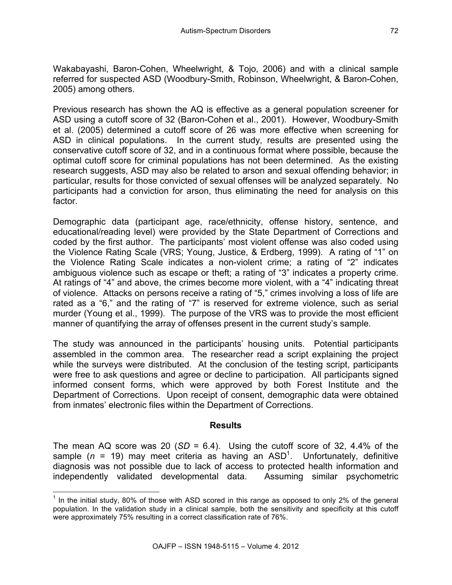Wakabayashi, Baron-Cohen, Wheelwright, & Tojo, 2006) and with a clinical sample referred for suspected ASD (Woodbury-Smith, Robinson, Wheelwright, & Baron-Cohen, 2005) among others.

Previous research has shown the AQ is effective as a general population screener for ASD using a cutoff score of 32 (Baron-Cohen et al., 2001). However, Woodbury-Smith et al. (2005) determined a cutoff score of 26 was more effective when screening for ASD in clinical populations. In the current study, results are presented using the conservative cutoff score of 32, and in a continuous format where possible, because the optimal cutoff score for criminal populations has not been determined. As the existing research suggests, ASD may also be related to arson and sexual offending behavior; in particular, results for those convicted of sexual offenses will be analyzed separately. No participants had a conviction for arson, thus eliminating the need for analysis on this factor.

Demographic data (participant age, race/ethnicity, offense history, sentence, and educational/reading level) were provided by the State Department of Corrections and coded by the first author. The participants' most violent offense was also coded using the Violence Rating Scale (VRS; Young, Justice, & Erdberg, 1999). A rating of "1" on the Violence Rating Scale indicates a non-violent crime; a rating of "2" indicates ambiguous violence such as escape or theft; a rating of "3" indicates a property crime. At ratings of "4" and above, the crimes become more violent, with a "4" indicating threat of violence. Attacks on persons receive a rating of "5," crimes involving a loss of life are rated as a "6," and the rating of "7" is reserved for extreme violence, such as serial murder (Young et al., 1999). The purpose of the VRS was to provide the most efficient manner of quantifying the array of offenses present in the current study's sample.

The study was announced in the participants' housing units. Potential participants assembled in the common area. The researcher read a script explaining the project while the surveys were distributed. At the conclusion of the testing script, participants were free to ask questions and agree or decline to participation. All participants signed informed consent forms, which were approved by both Forest Institute and the Department of Corrections. Upon receipt of consent, demographic data were obtained from inmates' electronic files within the Department of Corrections.

## **Results**

The mean AQ score was 20 ( $SD = 6.4$ ). Using the cutoff score of 32, 4.4% of the sample ( $n = 19$ ) may meet criteria as having an  $ASD<sup>1</sup>$ . Unfortunately, definitive diagnosis was not possible due to lack of access to protected health information and independently validated developmental data. Assuming similar psychometric

 $1$  In the initial study, 80% of those with ASD scored in this range as opposed to only 2% of the general population. In the validation study in a clinical sample, both the sensitivity and specificity at this cutoff were approximately 75% resulting in a correct classification rate of 76%.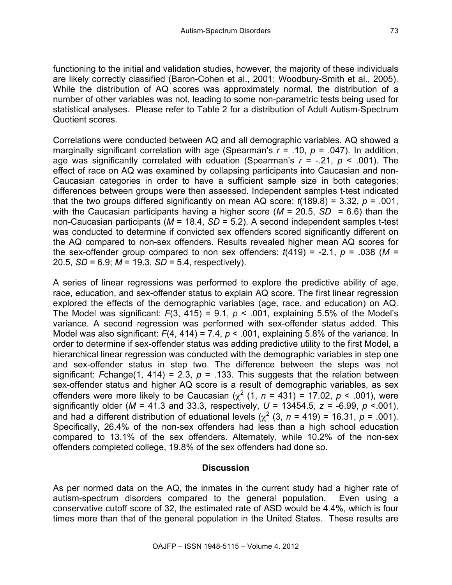functioning to the initial and validation studies, however, the majority of these individuals are likely correctly classified (Baron-Cohen et al., 2001; Woodbury-Smith et al., 2005). While the distribution of AQ scores was approximately normal, the distribution of a number of other variables was not, leading to some non-parametric tests being used for statistical analyses. Please refer to Table 2 for a distribution of Adult Autism-Spectrum Quotient scores.

Correlations were conducted between AQ and all demographic variables. AQ showed a marginally significant correlation with age (Spearman's  $r = .10$ ,  $p = .047$ ). In addition, age was significantly correlated with eduation (Spearman's  $r = -21$ ,  $p < .001$ ). The effect of race on AQ was examined by collapsing participants into Caucasian and non-Caucasian categories in order to have a sufficient sample size in both categories; differences between groups were then assessed. Independent samples t-test indicated that the two groups differed significantly on mean AQ score: *t*(189.8) = 3.32, *p* = .001, with the Caucasian participants having a higher score ( $M = 20.5$ ,  $SD = 6.6$ ) than the non-Caucasian participants (*M* = 18.4, *SD* = 5.2). A second independent samples t-test was conducted to determine if convicted sex offenders scored significantly different on the AQ compared to non-sex offenders. Results revealed higher mean AQ scores for the sex-offender group compared to non sex offenders:  $t(419) = -2.1$ ,  $p = .038$  ( $M =$ 20.5, *SD* = 6.9; *M* = 19.3, *SD* = 5.4, respectively).

A series of linear regressions was performed to explore the predictive ability of age, race, education, and sex-offender status to explain AQ score. The first linear regression explored the effects of the demographic variables (age, race, and education) on AQ. The Model was significant:  $F(3, 415) = 9.1$ ,  $p < .001$ , explaining 5.5% of the Model's variance. A second regression was performed with sex-offender status added. This Model was also significant: *F*(4, 414) = 7.4, *p* < .001, explaining 5.8% of the variance. In order to determine if sex-offender status was adding predictive utility to the first Model, a hierarchical linear regression was conducted with the demographic variables in step one and sex-offender status in step two. The difference between the steps was not significant: *F*change(1, 414) = 2.3,  $p = 0.133$ . This suggests that the relation between sex-offender status and higher AQ score is a result of demographic variables, as sex offenders were more likely to be Caucasian  $(\chi^2 (1, n = 431) = 17.02, p < .001)$ , were significantly older ( $M = 41.3$  and 33.3, respectively,  $U = 13454.5$ ,  $z = -6.99$ ,  $p \le 0.001$ ), and had a different distribution of eduational levels ( $\chi^2$  (3, *n* = 419) = 16.31, *p* = .001). Specifically, 26.4% of the non-sex offenders had less than a high school education compared to 13.1% of the sex offenders. Alternately, while 10.2% of the non-sex offenders completed college, 19.8% of the sex offenders had done so.

#### **Discussion**

As per normed data on the AQ, the inmates in the current study had a higher rate of autism-spectrum disorders compared to the general population. Even using a conservative cutoff score of 32, the estimated rate of ASD would be 4.4%, which is four times more than that of the general population in the United States. These results are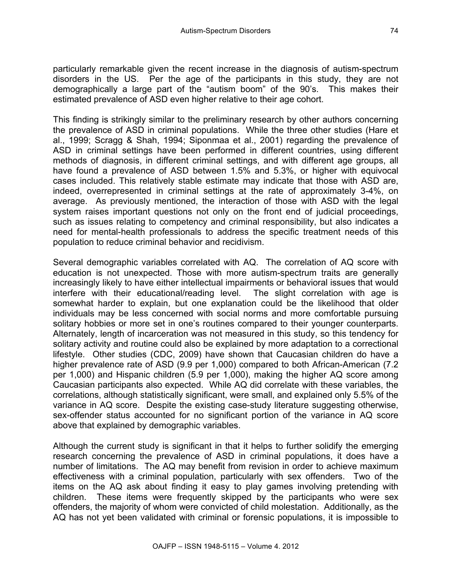particularly remarkable given the recent increase in the diagnosis of autism-spectrum disorders in the US. Per the age of the participants in this study, they are not demographically a large part of the "autism boom" of the 90's. This makes their estimated prevalence of ASD even higher relative to their age cohort.

This finding is strikingly similar to the preliminary research by other authors concerning the prevalence of ASD in criminal populations. While the three other studies (Hare et al., 1999; Scragg & Shah, 1994; Siponmaa et al., 2001) regarding the prevalence of ASD in criminal settings have been performed in different countries, using different methods of diagnosis, in different criminal settings, and with different age groups, all have found a prevalence of ASD between 1.5% and 5.3%, or higher with equivocal cases included. This relatively stable estimate may indicate that those with ASD are, indeed, overrepresented in criminal settings at the rate of approximately 3-4%, on average. As previously mentioned, the interaction of those with ASD with the legal system raises important questions not only on the front end of judicial proceedings, such as issues relating to competency and criminal responsibility, but also indicates a need for mental-health professionals to address the specific treatment needs of this population to reduce criminal behavior and recidivism.

Several demographic variables correlated with AQ. The correlation of AQ score with education is not unexpected. Those with more autism-spectrum traits are generally increasingly likely to have either intellectual impairments or behavioral issues that would interfere with their educational/reading level. The slight correlation with age is somewhat harder to explain, but one explanation could be the likelihood that older individuals may be less concerned with social norms and more comfortable pursuing solitary hobbies or more set in one's routines compared to their younger counterparts. Alternately, length of incarceration was not measured in this study, so this tendency for solitary activity and routine could also be explained by more adaptation to a correctional lifestyle. Other studies (CDC, 2009) have shown that Caucasian children do have a higher prevalence rate of ASD (9.9 per 1,000) compared to both African-American (7.2 per 1,000) and Hispanic children (5.9 per 1,000), making the higher AQ score among Caucasian participants also expected. While AQ did correlate with these variables, the correlations, although statistically significant, were small, and explained only 5.5% of the variance in AQ score. Despite the existing case-study literature suggesting otherwise, sex-offender status accounted for no significant portion of the variance in AQ score above that explained by demographic variables.

Although the current study is significant in that it helps to further solidify the emerging research concerning the prevalence of ASD in criminal populations, it does have a number of limitations. The AQ may benefit from revision in order to achieve maximum effectiveness with a criminal population, particularly with sex offenders. Two of the items on the AQ ask about finding it easy to play games involving pretending with children. These items were frequently skipped by the participants who were sex offenders, the majority of whom were convicted of child molestation. Additionally, as the AQ has not yet been validated with criminal or forensic populations, it is impossible to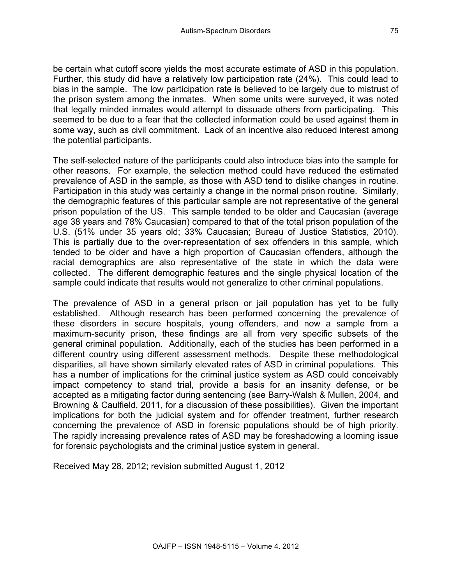be certain what cutoff score yields the most accurate estimate of ASD in this population. Further, this study did have a relatively low participation rate (24%). This could lead to bias in the sample. The low participation rate is believed to be largely due to mistrust of the prison system among the inmates. When some units were surveyed, it was noted that legally minded inmates would attempt to dissuade others from participating. This seemed to be due to a fear that the collected information could be used against them in some way, such as civil commitment. Lack of an incentive also reduced interest among the potential participants.

The self-selected nature of the participants could also introduce bias into the sample for other reasons. For example, the selection method could have reduced the estimated prevalence of ASD in the sample, as those with ASD tend to dislike changes in routine. Participation in this study was certainly a change in the normal prison routine. Similarly, the demographic features of this particular sample are not representative of the general prison population of the US. This sample tended to be older and Caucasian (average age 38 years and 78% Caucasian) compared to that of the total prison population of the U.S. (51% under 35 years old; 33% Caucasian; Bureau of Justice Statistics, 2010). This is partially due to the over-representation of sex offenders in this sample, which tended to be older and have a high proportion of Caucasian offenders, although the racial demographics are also representative of the state in which the data were collected. The different demographic features and the single physical location of the sample could indicate that results would not generalize to other criminal populations.

The prevalence of ASD in a general prison or jail population has yet to be fully established. Although research has been performed concerning the prevalence of these disorders in secure hospitals, young offenders, and now a sample from a maximum-security prison, these findings are all from very specific subsets of the general criminal population. Additionally, each of the studies has been performed in a different country using different assessment methods. Despite these methodological disparities, all have shown similarly elevated rates of ASD in criminal populations. This has a number of implications for the criminal justice system as ASD could conceivably impact competency to stand trial, provide a basis for an insanity defense, or be accepted as a mitigating factor during sentencing (see Barry-Walsh & Mullen, 2004, and Browning & Caulfield, 2011, for a discussion of these possibilities). Given the important implications for both the judicial system and for offender treatment, further research concerning the prevalence of ASD in forensic populations should be of high priority. The rapidly increasing prevalence rates of ASD may be foreshadowing a looming issue for forensic psychologists and the criminal justice system in general.

Received May 28, 2012; revision submitted August 1, 2012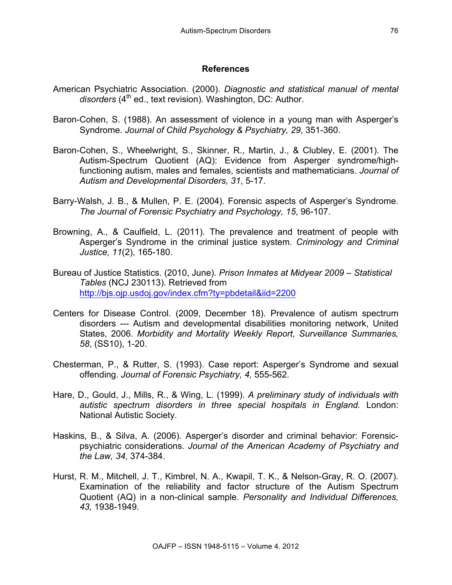#### **References**

- American Psychiatric Association. (2000). *Diagnostic and statistical manual of mental*  disorders (4<sup>th</sup> ed., text revision). Washington, DC: Author.
- Baron-Cohen, S. (1988). An assessment of violence in a young man with Asperger's Syndrome. *Journal of Child Psychology & Psychiatry, 29*, 351-360.
- Baron-Cohen, S., Wheelwright, S., Skinner, R., Martin, J., & Clubley, E. (2001). The Autism-Spectrum Quotient (AQ): Evidence from Asperger syndrome/highfunctioning autism, males and females, scientists and mathematicians. *Journal of Autism and Developmental Disorders, 31*, 5-17.
- Barry-Walsh, J. B., & Mullen, P. E. (2004). Forensic aspects of Asperger's Syndrome. *The Journal of Forensic Psychiatry and Psychology, 15*, 96-107.
- Browning, A., & Caulfield, L. (2011). The prevalence and treatment of people with Asperger's Syndrome in the criminal justice system. *Criminology and Criminal Justice, 11*(2), 165-180.
- Bureau of Justice Statistics. (2010, June). *Prison Inmates at Midyear 2009 – Statistical Tables* (NCJ 230113). Retrieved from http://bjs.ojp.usdoj.gov/index.cfm?ty=pbdetail&iid=2200
- Centers for Disease Control. (2009, December 18). Prevalence of autism spectrum disorders --- Autism and developmental disabilities monitoring network, United States, 2006. *Morbidity and Mortality Weekly Report, Surveillance Summaries, 58*, (SS10), 1-20.
- Chesterman, P., & Rutter, S. (1993). Case report: Asperger's Syndrome and sexual offending. *Journal of Forensic Psychiatry, 4,* 555-562.
- Hare, D., Gould, J., Mills, R., & Wing, L. (1999). *A preliminary study of individuals with autistic spectrum disorders in three special hospitals in England.* London: National Autistic Society.
- Haskins, B., & Silva, A. (2006). Asperger's disorder and criminal behavior: Forensicpsychiatric considerations. *Journal of the American Academy of Psychiatry and the Law, 34,* 374-384.
- Hurst, R. M., Mitchell, J. T., Kimbrel, N. A., Kwapil, T. K., & Nelson-Gray, R. O. (2007). Examination of the reliability and factor structure of the Autism Spectrum Quotient (AQ) in a non-clinical sample. *Personality and Individual Differences, 43,* 1938-1949.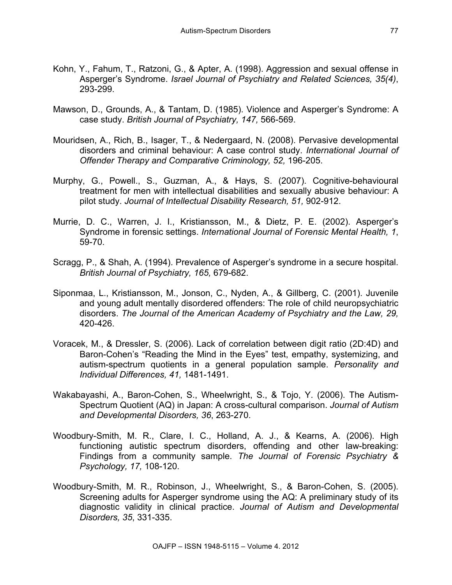- Kohn, Y., Fahum, T., Ratzoni, G., & Apter, A. (1998). Aggression and sexual offense in Asperger's Syndrome. *Israel Journal of Psychiatry and Related Sciences, 35(4)*, 293-299.
- Mawson, D., Grounds, A., & Tantam, D. (1985). Violence and Asperger's Syndrome: A case study. *British Journal of Psychiatry, 147,* 566-569.
- Mouridsen, A., Rich, B., Isager, T., & Nedergaard, N. (2008). Pervasive developmental disorders and criminal behaviour: A case control study. *International Journal of Offender Therapy and Comparative Criminology, 52,* 196-205.
- Murphy, G., Powell., S., Guzman, A., & Hays, S. (2007). Cognitive-behavioural treatment for men with intellectual disabilities and sexually abusive behaviour: A pilot study. *Journal of Intellectual Disability Research, 51,* 902-912.
- Murrie, D. C., Warren, J. I., Kristiansson, M., & Dietz, P. E. (2002). Asperger's Syndrome in forensic settings. *International Journal of Forensic Mental Health, 1*, 59-70.
- Scragg, P., & Shah, A. (1994). Prevalence of Asperger's syndrome in a secure hospital. *British Journal of Psychiatry, 165,* 679-682.
- Siponmaa, L., Kristiansson, M., Jonson, C., Nyden, A., & Gillberg, C. (2001). Juvenile and young adult mentally disordered offenders: The role of child neuropsychiatric disorders. *The Journal of the American Academy of Psychiatry and the Law, 29,*  420-426.
- Voracek, M., & Dressler, S. (2006). Lack of correlation between digit ratio (2D:4D) and Baron-Cohen's "Reading the Mind in the Eyes" test, empathy, systemizing, and autism-spectrum quotients in a general population sample. *Personality and Individual Differences, 41,* 1481-1491.
- Wakabayashi, A., Baron-Cohen, S., Wheelwright, S., & Tojo, Y. (2006). The Autism-Spectrum Quotient (AQ) in Japan: A cross-cultural comparison. *Journal of Autism and Developmental Disorders, 36*, 263-270.
- Woodbury-Smith, M. R., Clare, I. C., Holland, A. J., & Kearns, A. (2006). High functioning autistic spectrum disorders, offending and other law-breaking: Findings from a community sample. *The Journal of Forensic Psychiatry & Psychology, 17,* 108-120.
- Woodbury-Smith, M. R., Robinson, J., Wheelwright, S., & Baron-Cohen, S. (2005). Screening adults for Asperger syndrome using the AQ: A preliminary study of its diagnostic validity in clinical practice. *Journal of Autism and Developmental Disorders, 35*, 331-335.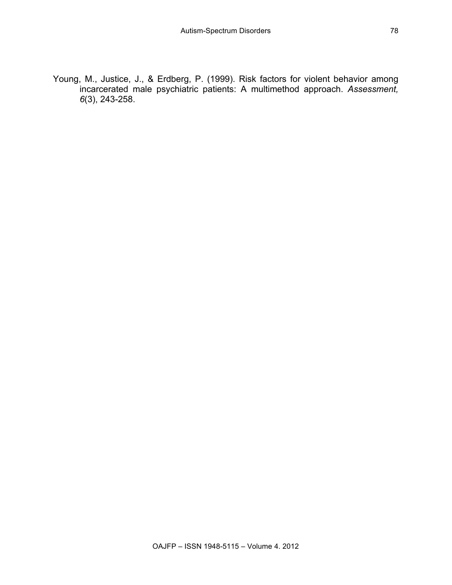Young, M., Justice, J., & Erdberg, P. (1999). Risk factors for violent behavior among incarcerated male psychiatric patients: A multimethod approach. *Assessment, 6*(3), 243-258.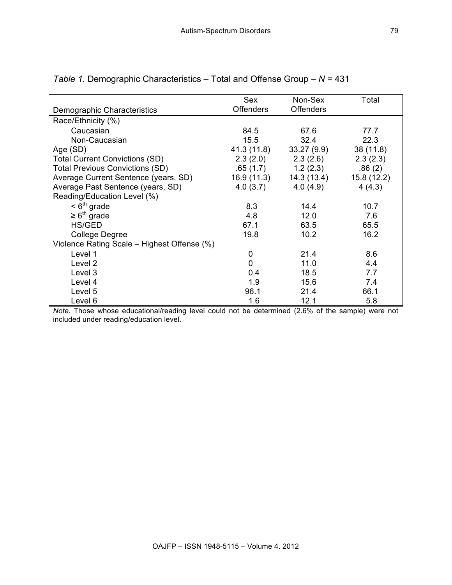|                                             | Sex              | Non-Sex          | Total      |  |  |
|---------------------------------------------|------------------|------------------|------------|--|--|
| Demographic Characteristics                 | <b>Offenders</b> | <b>Offenders</b> |            |  |  |
| Race/Ethnicity (%)                          |                  |                  |            |  |  |
| Caucasian                                   | 84.5             | 67.6             | 77.7       |  |  |
| Non-Caucasian                               | 15.5             | 32.4             | 22.3       |  |  |
| Age (SD)                                    | 41.3 (11.8)      | 33.27(9.9)       | 38 (11.8)  |  |  |
| <b>Total Current Convictions (SD)</b>       | 2.3(2.0)         | 2.3(2.6)         | 2.3(2.3)   |  |  |
| <b>Total Previous Convictions (SD)</b>      | .65 (1.7)        | 1.2(2.3)         | .86(2)     |  |  |
| Average Current Sentence (years, SD)        | 16.9 (11.3)      | 14.3 (13.4)      | 15.8(12.2) |  |  |
| Average Past Sentence (years, SD)           | 4.0(3.7)         | 4.0(4.9)         | 4(4.3)     |  |  |
| Reading/Education Level (%)                 |                  |                  |            |  |  |
| $< 6^{\text{th}}$ grade                     | 8.3              | 14.4             | 10.7       |  |  |
| $\geq 6^{\text{th}}$ grade                  | 4.8              | 12.0             | 7.6        |  |  |
| HS/GED                                      | 67.1             | 63.5             | 65.5       |  |  |
| <b>College Degree</b>                       | 19.8             | 10.2             | 16.2       |  |  |
| Violence Rating Scale – Highest Offense (%) |                  |                  |            |  |  |
| Level 1                                     | 0                | 21.4             | 8.6        |  |  |
| Level 2                                     | 0                | 11.0             | 4.4        |  |  |
| Level 3                                     | 0.4              | 18.5             | 7.7        |  |  |
| Level 4                                     | 1.9              | 15.6             | 7.4        |  |  |
| Level 5                                     | 96.1             | 21.4             | 66.1       |  |  |
| Level 6                                     | 1.6              | 12.1             | 5.8        |  |  |

|  | Table 1. Demographic Characteristics – Total and Offense Group – $N = 431$ |  |  |
|--|----------------------------------------------------------------------------|--|--|
|  |                                                                            |  |  |

*Note.* Those whose educational/reading level could not be determined (2.6% of the sample) were not included under reading/education level.